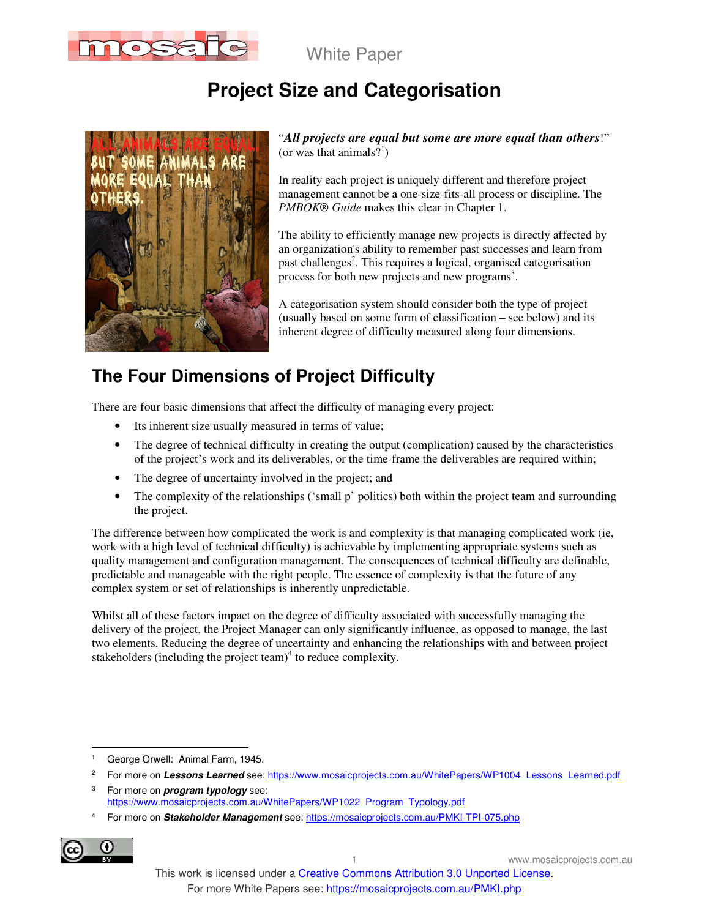

# **Project Size and Categorisation**



"*All projects are equal but some are more equal than others*!" (or was that animals?<sup>1</sup>)

In reality each project is uniquely different and therefore project management cannot be a one-size-fits-all process or discipline. The *PMBOK® Guide* makes this clear in Chapter 1.

The ability to efficiently manage new projects is directly affected by an organization's ability to remember past successes and learn from past challenges<sup>2</sup>. This requires a logical, organised categorisation process for both new projects and new programs<sup>3</sup>.

A categorisation system should consider both the type of project (usually based on some form of classification – see below) and its inherent degree of difficulty measured along four dimensions.

# **The Four Dimensions of Project Difficulty**

There are four basic dimensions that affect the difficulty of managing every project:

- Its inherent size usually measured in terms of value;
- The degree of technical difficulty in creating the output (complication) caused by the characteristics of the project's work and its deliverables, or the time-frame the deliverables are required within;
- The degree of uncertainty involved in the project; and
- The complexity of the relationships ('small p' politics) both within the project team and surrounding the project.

The difference between how complicated the work is and complexity is that managing complicated work (ie, work with a high level of technical difficulty) is achievable by implementing appropriate systems such as quality management and configuration management. The consequences of technical difficulty are definable, predictable and manageable with the right people. The essence of complexity is that the future of any complex system or set of relationships is inherently unpredictable.

Whilst all of these factors impact on the degree of difficulty associated with successfully managing the delivery of the project, the Project Manager can only significantly influence, as opposed to manage, the last two elements. Reducing the degree of uncertainty and enhancing the relationships with and between project stakeholders (including the project team) $4$  to reduce complexity.

<sup>4</sup> For more on **Stakeholder Management** see: https://mosaicprojects.com.au/PMKI-TPI-075.php



 $\ddot{\phantom{a}}$ 

<sup>1</sup> George Orwell: Animal Farm, 1945.

<sup>2</sup> For more on Lessons Learned see: https://www.mosaicprojects.com.au/WhitePapers/WP1004\_Lessons\_Learned.pdf

<sup>3</sup> For more on **program typology** see: https://www.mosaicprojects.com.au/WhitePapers/WP1022\_Program\_Typology.pdf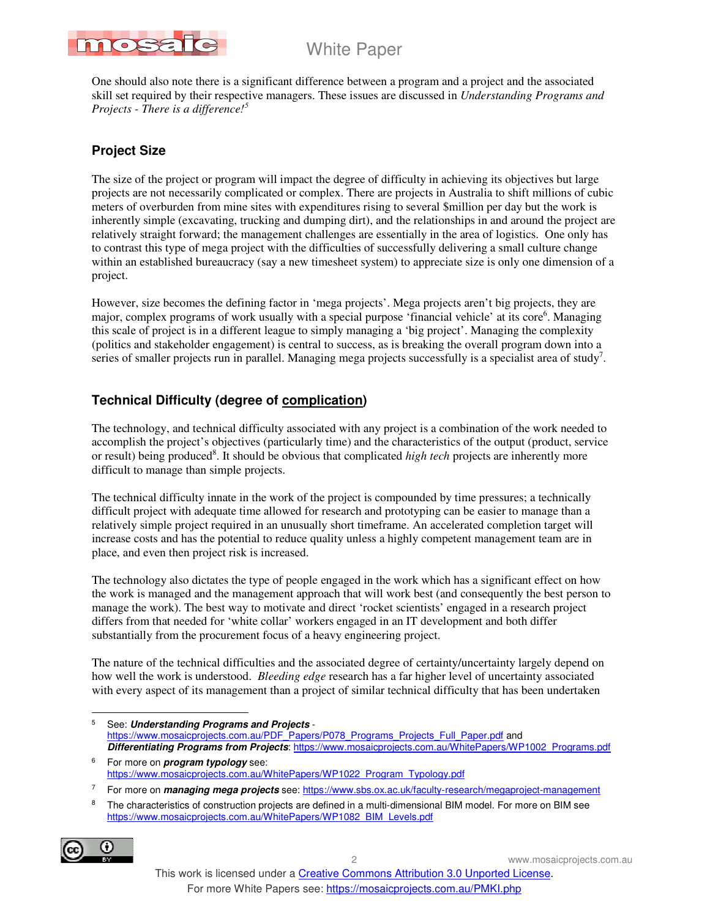

One should also note there is a significant difference between a program and a project and the associated skill set required by their respective managers. These issues are discussed in *Understanding Programs and Projects - There is a difference!<sup>5</sup>*

### **Project Size**

The size of the project or program will impact the degree of difficulty in achieving its objectives but large projects are not necessarily complicated or complex. There are projects in Australia to shift millions of cubic meters of overburden from mine sites with expenditures rising to several \$million per day but the work is inherently simple (excavating, trucking and dumping dirt), and the relationships in and around the project are relatively straight forward; the management challenges are essentially in the area of logistics. One only has to contrast this type of mega project with the difficulties of successfully delivering a small culture change within an established bureaucracy (say a new timesheet system) to appreciate size is only one dimension of a project.

However, size becomes the defining factor in 'mega projects'. Mega projects aren't big projects, they are major, complex programs of work usually with a special purpose 'financial vehicle' at its core<sup>6</sup>. Managing this scale of project is in a different league to simply managing a 'big project'. Managing the complexity (politics and stakeholder engagement) is central to success, as is breaking the overall program down into a series of smaller projects run in parallel. Managing mega projects successfully is a specialist area of study<sup>7</sup>.

### **Technical Difficulty (degree of complication)**

The technology, and technical difficulty associated with any project is a combination of the work needed to accomplish the project's objectives (particularly time) and the characteristics of the output (product, service or result) being produced<sup>8</sup>. It should be obvious that complicated *high tech* projects are inherently more difficult to manage than simple projects.

The technical difficulty innate in the work of the project is compounded by time pressures; a technically difficult project with adequate time allowed for research and prototyping can be easier to manage than a relatively simple project required in an unusually short timeframe. An accelerated completion target will increase costs and has the potential to reduce quality unless a highly competent management team are in place, and even then project risk is increased.

The technology also dictates the type of people engaged in the work which has a significant effect on how the work is managed and the management approach that will work best (and consequently the best person to manage the work). The best way to motivate and direct 'rocket scientists' engaged in a research project differs from that needed for 'white collar' workers engaged in an IT development and both differ substantially from the procurement focus of a heavy engineering project.

The nature of the technical difficulties and the associated degree of certainty/uncertainty largely depend on how well the work is understood. *Bleeding edge* research has a far higher level of uncertainty associated with every aspect of its management than a project of similar technical difficulty that has been undertaken

-<br>5 See: **Understanding Programs and Projects** https://www.mosaicprojects.com.au/PDF\_Papers/P078\_Programs\_Projects\_Full\_Paper.pdf and **Differentiating Programs from Projects**: https://www.mosaicprojects.com.au/WhitePapers/WP1002\_Programs.pdf

6 For more on **program typology** see: https://www.mosaicprojects.com.au/WhitePapers/WP1022\_Program\_Typology.pdf

7 For more on **managing mega projects** see: https://www.sbs.ox.ac.uk/faculty-research/megaproject-management

<sup>8</sup> The characteristics of construction projects are defined in a multi-dimensional BIM model. For more on BIM see https://www.mosaicprojects.com.au/WhitePapers/WP1082\_BIM\_Levels.pdf

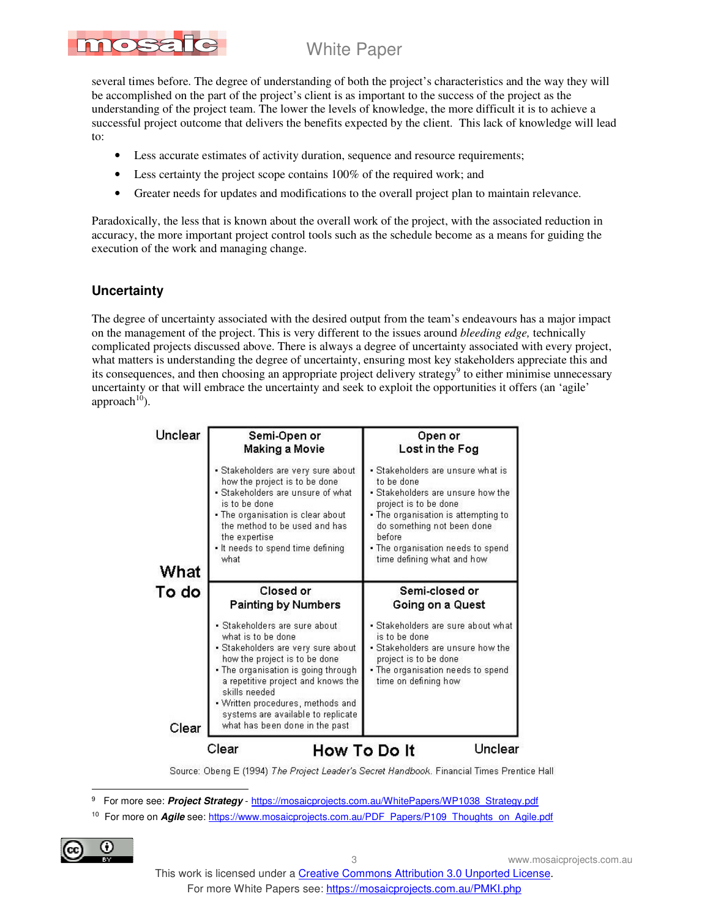# 1088

White Paper

several times before. The degree of understanding of both the project's characteristics and the way they will be accomplished on the part of the project's client is as important to the success of the project as the understanding of the project team. The lower the levels of knowledge, the more difficult it is to achieve a successful project outcome that delivers the benefits expected by the client. This lack of knowledge will lead to:

- Less accurate estimates of activity duration, sequence and resource requirements;
- Less certainty the project scope contains 100% of the required work; and
- Greater needs for updates and modifications to the overall project plan to maintain relevance.

Paradoxically, the less that is known about the overall work of the project, with the associated reduction in accuracy, the more important project control tools such as the schedule become as a means for guiding the execution of the work and managing change.

### **Uncertainty**

The degree of uncertainty associated with the desired output from the team's endeavours has a major impact on the management of the project. This is very different to the issues around *bleeding edge,* technically complicated projects discussed above. There is always a degree of uncertainty associated with every project, what matters is understanding the degree of uncertainty, ensuring most key stakeholders appreciate this and its consequences, and then choosing an appropriate project delivery strategy<sup>9</sup> to either minimise unnecessary uncertainty or that will embrace the uncertainty and seek to exploit the opportunities it offers (an 'agile' approach $10$ ).

| Semi-Open or                                                                                                                                                                                                                                                                                                                          | Open or                                                                                                                                                                        |
|---------------------------------------------------------------------------------------------------------------------------------------------------------------------------------------------------------------------------------------------------------------------------------------------------------------------------------------|--------------------------------------------------------------------------------------------------------------------------------------------------------------------------------|
| Making a Movie                                                                                                                                                                                                                                                                                                                        | Lost in the Fog                                                                                                                                                                |
| • Stakeholders are very sure about                                                                                                                                                                                                                                                                                                    | • Stakeholders are unsure what is                                                                                                                                              |
| how the project is to be done                                                                                                                                                                                                                                                                                                         | to be done                                                                                                                                                                     |
| • Stakeholders are unsure of what                                                                                                                                                                                                                                                                                                     | • Stakeholders are unsure how the                                                                                                                                              |
| is to be done                                                                                                                                                                                                                                                                                                                         | project is to be done                                                                                                                                                          |
| . The organisation is clear about                                                                                                                                                                                                                                                                                                     | • The organisation is attempting to                                                                                                                                            |
| the method to be used and has                                                                                                                                                                                                                                                                                                         | do something not been done                                                                                                                                                     |
| the expertise                                                                                                                                                                                                                                                                                                                         | before                                                                                                                                                                         |
| • It needs to spend time defining                                                                                                                                                                                                                                                                                                     | • The organisation needs to spend                                                                                                                                              |
| what                                                                                                                                                                                                                                                                                                                                  | time defining what and how                                                                                                                                                     |
| Closed or                                                                                                                                                                                                                                                                                                                             | Semi-closed or                                                                                                                                                                 |
| <b>Painting by Numbers</b>                                                                                                                                                                                                                                                                                                            | Going on a Quest                                                                                                                                                               |
| • Stakeholders are sure about<br>what is to be done<br>• Stakeholders are very sure about<br>how the project is to be done<br>• The organisation is going through<br>a repetitive project and knows the<br>skills needed<br>• Written procedures, methods and<br>systems are available to replicate<br>what has been done in the past | · Stakeholders are sure about what<br>is to be done<br>• Stakeholders are unsure how the<br>project is to be done<br>• The organisation needs to spend<br>time on defining how |
|                                                                                                                                                                                                                                                                                                                                       |                                                                                                                                                                                |

Source: Obeng E (1994) The Project Leader's Secret Handbook. Financial Times Prentice Hall

9 For more see: Project Strategy - https://mosaicprojects.com.au/WhitePapers/WP1038\_Strategy.pdf

<sup>10</sup> For more on **Agile** see: https://www.mosaicprojects.com.au/PDF\_Papers/P109\_Thoughts\_on\_Agile.pdf



 $\overline{a}$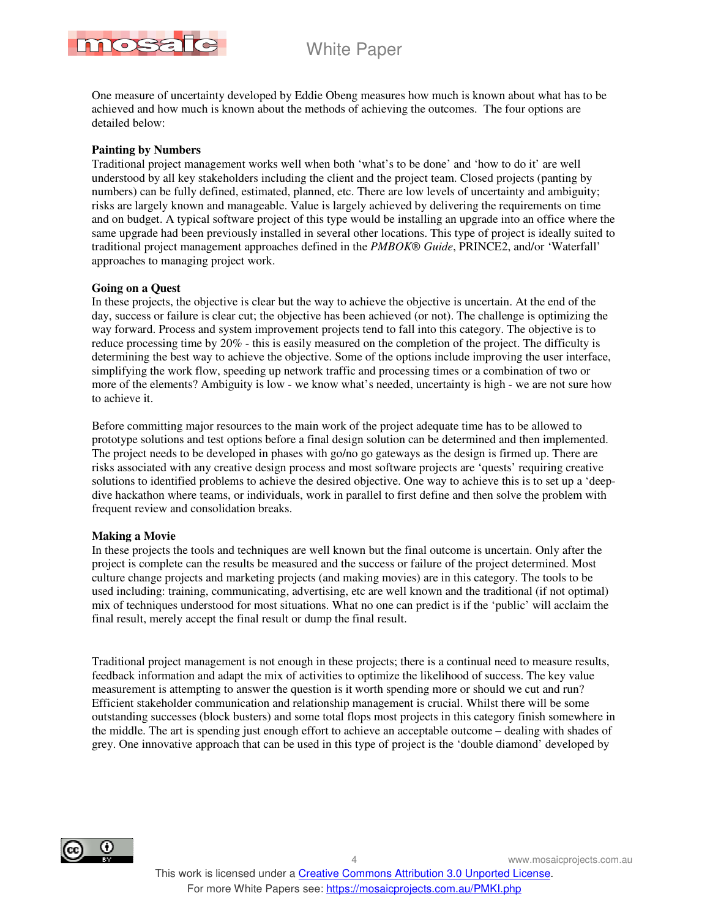

One measure of uncertainty developed by Eddie Obeng measures how much is known about what has to be achieved and how much is known about the methods of achieving the outcomes. The four options are detailed below:

#### **Painting by Numbers**

Traditional project management works well when both 'what's to be done' and 'how to do it' are well understood by all key stakeholders including the client and the project team. Closed projects (panting by numbers) can be fully defined, estimated, planned, etc. There are low levels of uncertainty and ambiguity; risks are largely known and manageable. Value is largely achieved by delivering the requirements on time and on budget. A typical software project of this type would be installing an upgrade into an office where the same upgrade had been previously installed in several other locations. This type of project is ideally suited to traditional project management approaches defined in the *PMBOK® Guide*, PRINCE2, and/or 'Waterfall' approaches to managing project work.

#### **Going on a Quest**

In these projects, the objective is clear but the way to achieve the objective is uncertain. At the end of the day, success or failure is clear cut; the objective has been achieved (or not). The challenge is optimizing the way forward. Process and system improvement projects tend to fall into this category. The objective is to reduce processing time by 20% - this is easily measured on the completion of the project. The difficulty is determining the best way to achieve the objective. Some of the options include improving the user interface, simplifying the work flow, speeding up network traffic and processing times or a combination of two or more of the elements? Ambiguity is low - we know what's needed, uncertainty is high - we are not sure how to achieve it.

Before committing major resources to the main work of the project adequate time has to be allowed to prototype solutions and test options before a final design solution can be determined and then implemented. The project needs to be developed in phases with go/no go gateways as the design is firmed up. There are risks associated with any creative design process and most software projects are 'quests' requiring creative solutions to identified problems to achieve the desired objective. One way to achieve this is to set up a 'deepdive hackathon where teams, or individuals, work in parallel to first define and then solve the problem with frequent review and consolidation breaks.

#### **Making a Movie**

In these projects the tools and techniques are well known but the final outcome is uncertain. Only after the project is complete can the results be measured and the success or failure of the project determined. Most culture change projects and marketing projects (and making movies) are in this category. The tools to be used including: training, communicating, advertising, etc are well known and the traditional (if not optimal) mix of techniques understood for most situations. What no one can predict is if the 'public' will acclaim the final result, merely accept the final result or dump the final result.

Traditional project management is not enough in these projects; there is a continual need to measure results, feedback information and adapt the mix of activities to optimize the likelihood of success. The key value measurement is attempting to answer the question is it worth spending more or should we cut and run? Efficient stakeholder communication and relationship management is crucial. Whilst there will be some outstanding successes (block busters) and some total flops most projects in this category finish somewhere in the middle. The art is spending just enough effort to achieve an acceptable outcome – dealing with shades of grey. One innovative approach that can be used in this type of project is the 'double diamond' developed by

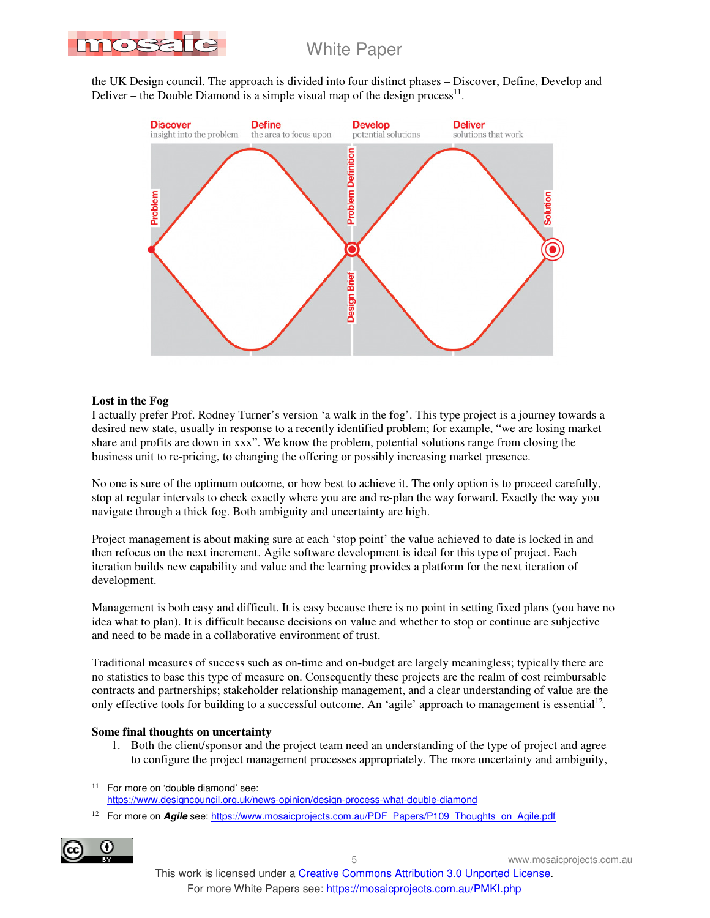

the UK Design council. The approach is divided into four distinct phases – Discover, Define, Develop and Deliver – the Double Diamond is a simple visual map of the design process<sup>11</sup>.



#### **Lost in the Fog**

I actually prefer Prof. Rodney Turner's version 'a walk in the fog'. This type project is a journey towards a desired new state, usually in response to a recently identified problem; for example, "we are losing market share and profits are down in xxx". We know the problem, potential solutions range from closing the business unit to re-pricing, to changing the offering or possibly increasing market presence.

No one is sure of the optimum outcome, or how best to achieve it. The only option is to proceed carefully, stop at regular intervals to check exactly where you are and re-plan the way forward. Exactly the way you navigate through a thick fog. Both ambiguity and uncertainty are high.

Project management is about making sure at each 'stop point' the value achieved to date is locked in and then refocus on the next increment. Agile software development is ideal for this type of project. Each iteration builds new capability and value and the learning provides a platform for the next iteration of development.

Management is both easy and difficult. It is easy because there is no point in setting fixed plans (you have no idea what to plan). It is difficult because decisions on value and whether to stop or continue are subjective and need to be made in a collaborative environment of trust.

Traditional measures of success such as on-time and on-budget are largely meaningless; typically there are no statistics to base this type of measure on. Consequently these projects are the realm of cost reimbursable contracts and partnerships; stakeholder relationship management, and a clear understanding of value are the only effective tools for building to a successful outcome. An 'agile' approach to management is essential<sup>12</sup>.

#### **Some final thoughts on uncertainty**

1. Both the client/sponsor and the project team need an understanding of the type of project and agree to configure the project management processes appropriately. The more uncertainty and ambiguity,

<sup>&</sup>lt;sup>12</sup> For more on *Agile* see: https://www.mosaicprojects.com.au/PDF\_Papers/P109\_Thoughts\_on\_Agile.pdf



 $\overline{a}$ <sup>11</sup> For more on 'double diamond' see: https://www.designcouncil.org.uk/news-opinion/design-process-what-double-diamond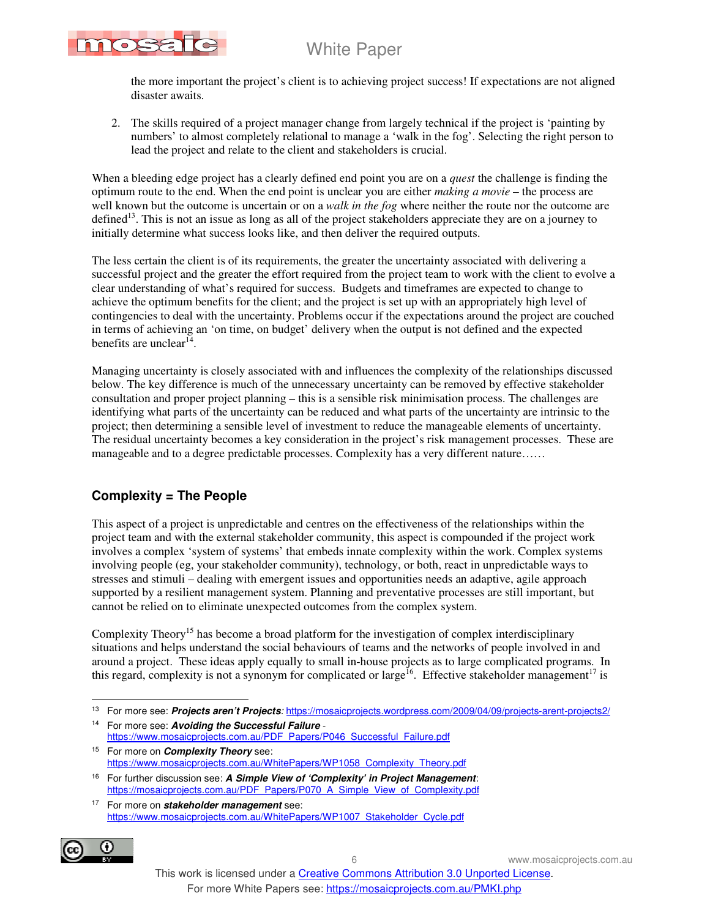

the more important the project's client is to achieving project success! If expectations are not aligned disaster awaits.

2. The skills required of a project manager change from largely technical if the project is 'painting by numbers' to almost completely relational to manage a 'walk in the fog'. Selecting the right person to lead the project and relate to the client and stakeholders is crucial.

When a bleeding edge project has a clearly defined end point you are on a *quest* the challenge is finding the optimum route to the end. When the end point is unclear you are either *making a movie* – the process are well known but the outcome is uncertain or on a *walk in the fog* where neither the route nor the outcome are defined<sup>13</sup>. This is not an issue as long as all of the project stakeholders appreciate they are on a journey to initially determine what success looks like, and then deliver the required outputs.

The less certain the client is of its requirements, the greater the uncertainty associated with delivering a successful project and the greater the effort required from the project team to work with the client to evolve a clear understanding of what's required for success. Budgets and timeframes are expected to change to achieve the optimum benefits for the client; and the project is set up with an appropriately high level of contingencies to deal with the uncertainty. Problems occur if the expectations around the project are couched in terms of achieving an 'on time, on budget' delivery when the output is not defined and the expected benefits are unclear<sup>14</sup>.

Managing uncertainty is closely associated with and influences the complexity of the relationships discussed below. The key difference is much of the unnecessary uncertainty can be removed by effective stakeholder consultation and proper project planning – this is a sensible risk minimisation process. The challenges are identifying what parts of the uncertainty can be reduced and what parts of the uncertainty are intrinsic to the project; then determining a sensible level of investment to reduce the manageable elements of uncertainty. The residual uncertainty becomes a key consideration in the project's risk management processes. These are manageable and to a degree predictable processes. Complexity has a very different nature……

### **Complexity = The People**

This aspect of a project is unpredictable and centres on the effectiveness of the relationships within the project team and with the external stakeholder community, this aspect is compounded if the project work involves a complex 'system of systems' that embeds innate complexity within the work. Complex systems involving people (eg, your stakeholder community), technology, or both, react in unpredictable ways to stresses and stimuli – dealing with emergent issues and opportunities needs an adaptive, agile approach supported by a resilient management system. Planning and preventative processes are still important, but cannot be relied on to eliminate unexpected outcomes from the complex system.

Complexity Theory<sup>15</sup> has become a broad platform for the investigation of complex interdisciplinary situations and helps understand the social behaviours of teams and the networks of people involved in and around a project. These ideas apply equally to small in-house projects as to large complicated programs. In this regard, complexity is not a synonym for complicated or large<sup>16</sup>. Effective stakeholder management<sup>17</sup> is

<sup>17</sup> For more on **stakeholder management** see: https://www.mosaicprojects.com.au/WhitePapers/WP1007\_Stakeholder\_Cycle.pdf



 $\ddot{\phantom{a}}$ <sup>13</sup> For more see: **Projects aren't Projects**: https://mosaicprojects.wordpress.com/2009/04/09/projects-arent-projects2/

<sup>14</sup> For more see: **Avoiding the Successful Failure** https://www.mosaicprojects.com.au/PDF\_Papers/P046\_Successful\_Failure.pdf

<sup>15</sup> For more on **Complexity Theory** see: https://www.mosaicprojects.com.au/WhitePapers/WP1058\_Complexity\_Theory.pdf

<sup>16</sup> For further discussion see: **A Simple View of 'Complexity' in Project Management**: https://mosaicprojects.com.au/PDF\_Papers/P070\_A\_Simple\_View\_of\_Complexity.pdf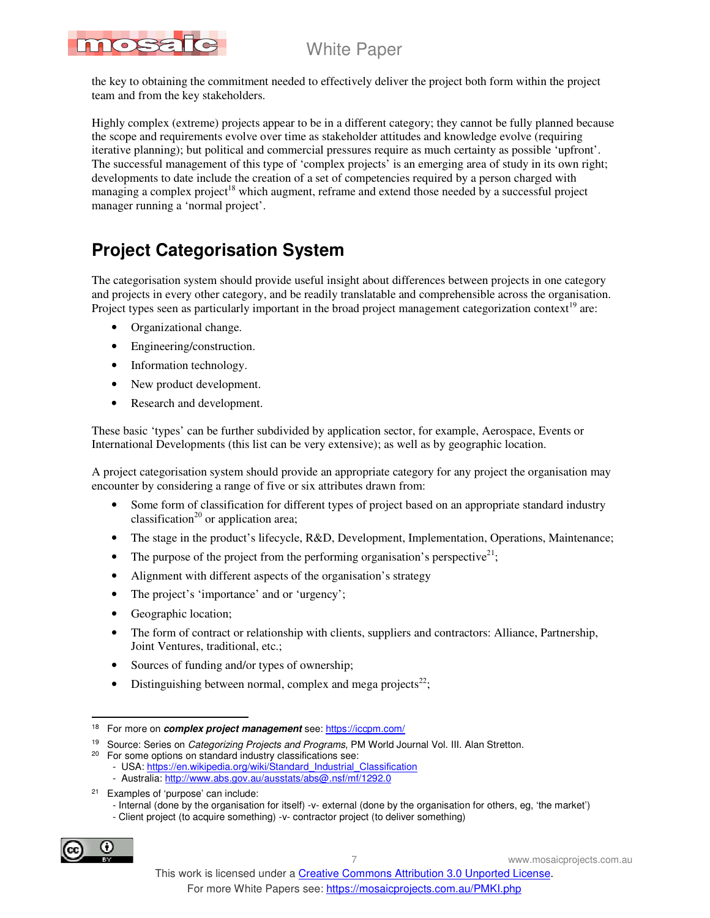

the key to obtaining the commitment needed to effectively deliver the project both form within the project team and from the key stakeholders.

Highly complex (extreme) projects appear to be in a different category; they cannot be fully planned because the scope and requirements evolve over time as stakeholder attitudes and knowledge evolve (requiring iterative planning); but political and commercial pressures require as much certainty as possible 'upfront'. The successful management of this type of 'complex projects' is an emerging area of study in its own right; developments to date include the creation of a set of competencies required by a person charged with managing a complex project<sup>18</sup> which augment, reframe and extend those needed by a successful project manager running a 'normal project'.

# **Project Categorisation System**

The categorisation system should provide useful insight about differences between projects in one category and projects in every other category, and be readily translatable and comprehensible across the organisation. Project types seen as particularly important in the broad project management categorization context<sup>19</sup> are:

- Organizational change.
- Engineering/construction.
- Information technology.
- New product development.
- Research and development.

These basic 'types' can be further subdivided by application sector, for example, Aerospace, Events or International Developments (this list can be very extensive); as well as by geographic location.

A project categorisation system should provide an appropriate category for any project the organisation may encounter by considering a range of five or six attributes drawn from:

- Some form of classification for different types of project based on an appropriate standard industry classification<sup>20</sup> or application area;
- The stage in the product's lifecycle, R&D, Development, Implementation, Operations, Maintenance;
- The purpose of the project from the performing organisation's perspective<sup>21</sup>;
- Alignment with different aspects of the organisation's strategy
- The project's 'importance' and or 'urgency';
- Geographic location;
- The form of contract or relationship with clients, suppliers and contractors: Alliance, Partnership, Joint Ventures, traditional, etc.;
- Sources of funding and/or types of ownership;
- Distinguishing between normal, complex and mega projects<sup>22</sup>;

 <sup>-</sup> Client project (to acquire something) -v- contractor project (to deliver something)



 $\overline{a}$ 

<sup>18</sup> For more on **complex project management** see: https://iccpm.com/

<sup>&</sup>lt;sup>19</sup> Source: Series on *Categorizing Projects and Programs*, PM World Journal Vol. III. Alan Stretton.

<sup>&</sup>lt;sup>20</sup> For some options on standard industry classifications see:

<sup>-</sup> USA: https://en.wikipedia.org/wiki/Standard\_Industrial\_Classification

 <sup>-</sup> Australia: http://www.abs.gov.au/ausstats/abs@.nsf/mf/1292.0

<sup>21</sup> Examples of 'purpose' can include:

 <sup>-</sup> Internal (done by the organisation for itself) -v- external (done by the organisation for others, eg, 'the market')